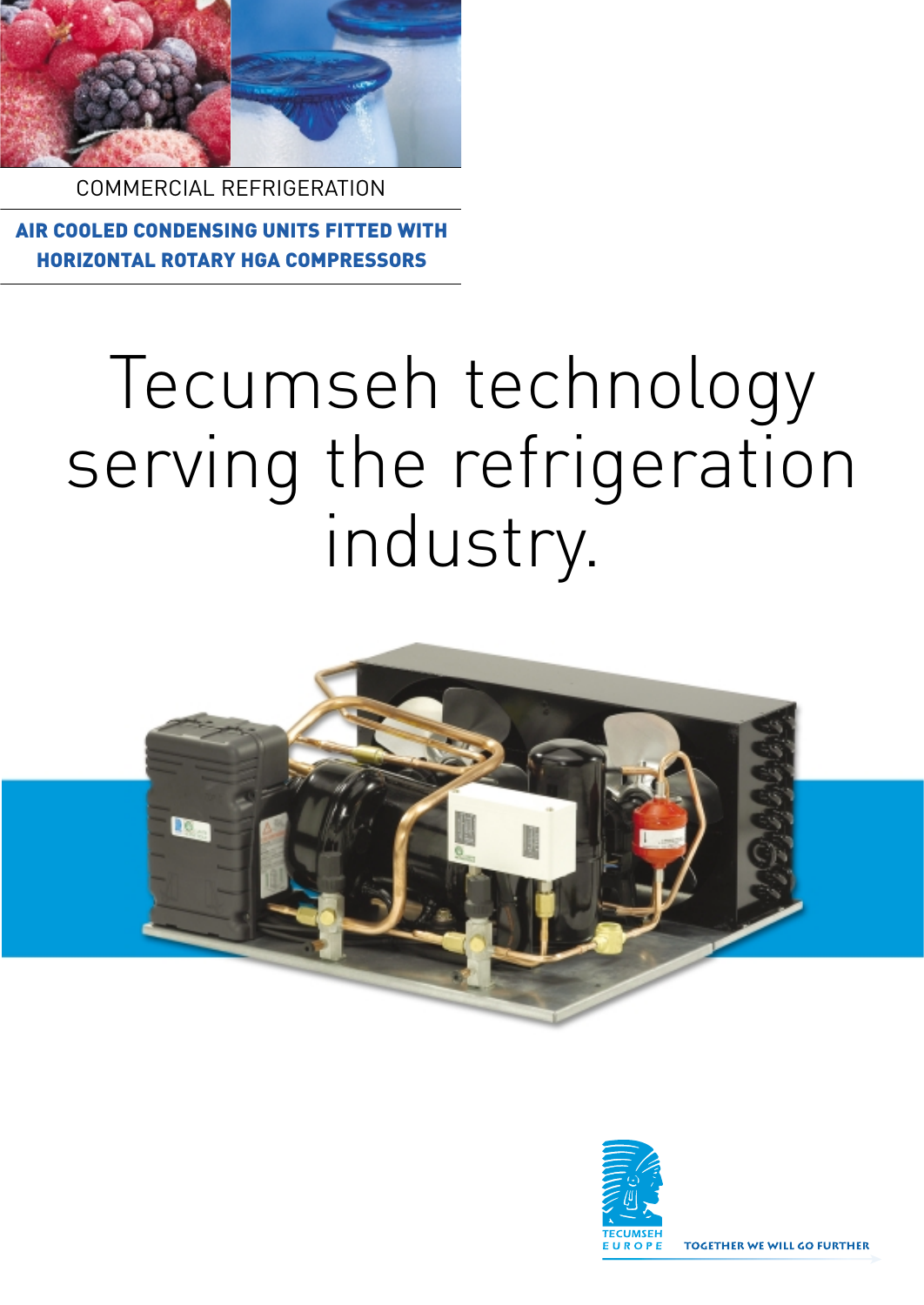

COMMERCIAL REFRIGERATION

AIR COOLED CONDENSING UNITS FITTED WITH HORIZONTAL ROTARY HGA COMPRESSORS

## Tecumseh technology serving the refrigeration industry.



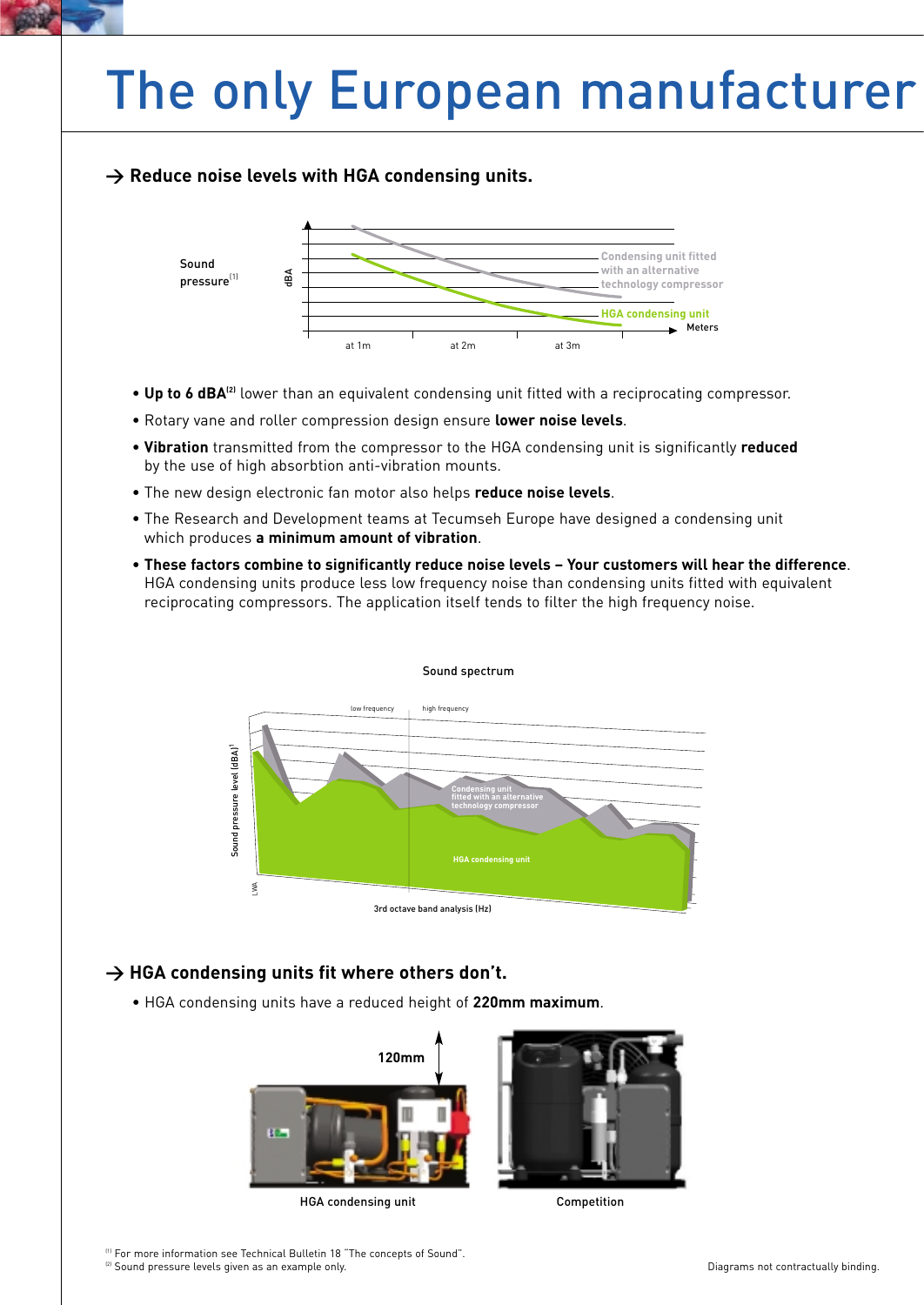### The only European manufacturer

### **> Reduce noise levels with HGA condensing units.**



- Up to 6 dBA<sup>(2)</sup> lower than an equivalent condensing unit fitted with a reciprocating compressor.
- Rotary vane and roller compression design ensure **lower noise levels**.
- **Vibration** transmitted from the compressor to the HGA condensing unit is significantly **reduced** by the use of high absorbtion anti-vibration mounts.
- The new design electronic fan motor also helps **reduce noise levels**.
- The Research and Development teams at Tecumseh Europe have designed a condensing unit which produces **a minimum amount of vibration**.
- **These factors combine to significantly reduce noise levels Your customers will hear the difference**. HGA condensing units produce less low frequency noise than condensing units fitted with equivalent reciprocating compressors. The application itself tends to filter the high frequency noise.



#### Sound spectrum

### → HGA condensing units fit where others don't.

• HGA condensing units have a reduced height of **220mm maximum**.



HGA condensing unit Competition

<sup>(1)</sup> For more information see Technical Bulletin 18 "The concepts of Sound".<br><sup>(2)</sup> Sound pressure levels given as an example only.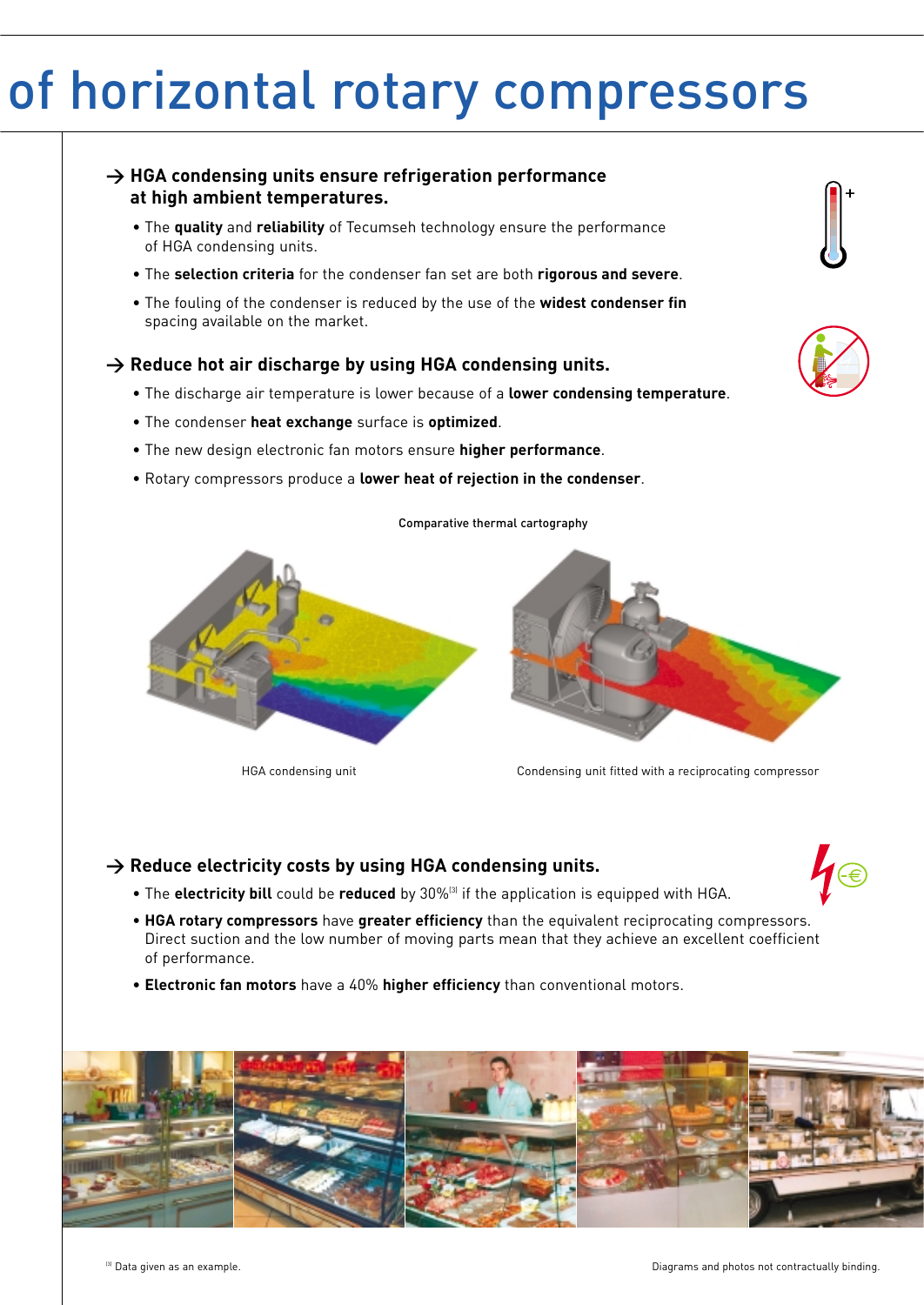### of horizontal rotary compressors

### **> HGA condensing units ensure refrigeration performance at high ambient temperatures.**

- The **quality** and **reliability** of Tecumseh technology ensure the performance of HGA condensing units.
- The **selection criteria** for the condenser fan set are both **rigorous and severe**.
- The fouling of the condenser is reduced by the use of the **widest condenser fin** spacing available on the market.

#### → Reduce hot air discharge by using HGA condensing units.

• The discharge air temperature is lower because of a **lower condensing temperature**.

Comparative thermal cartography

- The condenser **heat exchange** surface is **optimized**.
- The new design electronic fan motors ensure **higher performance**.
- Rotary compressors produce a **lower heat of rejection in the condenser**.





HGA condensing unit Condensing unit fitted with a reciprocating compressor

### → Reduce electricity costs by using HGA condensing units.



- The **electricity bill** could be **reduced** by 30%<sup>(3)</sup> if the application is equipped with HGA.
- **HGA rotary compressors** have **greater efficiency** than the equivalent reciprocating compressors. Direct suction and the low number of moving parts mean that they achieve an excellent coefficient of performance.
- **Electronic fan motors** have a 40% **higher efficiency** than conventional motors.